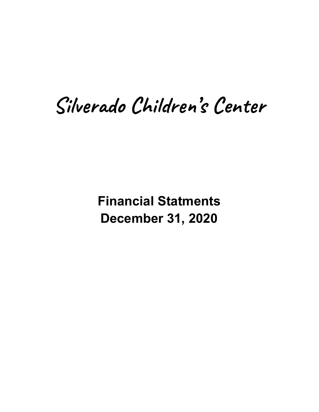# Silverado Children's Center

**Financial Statments December 31, 2020**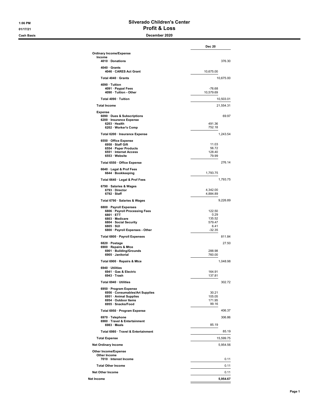#### 1:06 PM Silverado Children's Center 01/17/21 **Profit & Loss**

#### Cash Basis December 2020

|                                                                                                                                                                       | <b>Dec 20</b>                                          |
|-----------------------------------------------------------------------------------------------------------------------------------------------------------------------|--------------------------------------------------------|
| <b>Ordinary Income/Expense</b>                                                                                                                                        |                                                        |
| Income<br>4010 · Donations                                                                                                                                            | 376.30                                                 |
| $4040 \cdot$ Grants<br>4046 · CARES Act Grant                                                                                                                         | 10,675.00                                              |
| Total 4040 · Grants                                                                                                                                                   | 10,675.00                                              |
| 4090 · Tuition<br>4091 · Paypal Fees<br>4090 · Tuition - Other                                                                                                        | $-76.68$<br>10,579.69                                  |
| Total 4090 · Tuition                                                                                                                                                  | 10,503.01                                              |
| <b>Total Income</b>                                                                                                                                                   | 21,554.31                                              |
| Expense                                                                                                                                                               | 69.97                                                  |
| 6090 · Dues & Subscriptions<br>6200 · Insurance Expense<br>6203 · Health<br>6202 · Worker's Comp                                                                      | 491.36<br>752.18                                       |
| Total 6200 · Insurance Expense                                                                                                                                        | 1,243.54                                               |
| 6550 Office Expense<br>6958 · Staff Gift<br>6554 · Paper Products<br>6551 · Internet Access<br>6553 · Website                                                         | 11.03<br>56.72<br>128.40<br>79.99                      |
| Total 6550 · Office Expense                                                                                                                                           | 276.14                                                 |
| 6640 · Legal & Prof Fees<br>6644 · Bookkeeping                                                                                                                        | 1,793.75                                               |
| Total 6640 · Legal & Prof Fees                                                                                                                                        | 1,793.75                                               |
| 6790 · Salaries & Wages<br>6793 · Director<br>$6792 \cdot$ Staff                                                                                                      | 4,342.00<br>4,884.89                                   |
| Total 6790 · Salaries & Wages                                                                                                                                         | 9,226.89                                               |
| 6800 · Payroll Expenses<br>6806 · Payroll Processing Fees<br>6801 · ETT<br>6803 · Medicare<br>6804 · Social Security<br>6805 · SUI<br>6800 · Payroll Expenses - Other | 122.50<br>0.29<br>135.52<br>579.47<br>6.41<br>$-32.35$ |
| Total 6800 · Payroll Expenses                                                                                                                                         | 811.84                                                 |
| 6820 · Postage<br>6900 · Repairs & Mtce<br>6901 · Building/Grounds<br>6905 · Janitorial                                                                               | 27.50<br>288.98<br>760.00                              |
| Total 6900 · Repairs & Mtce                                                                                                                                           | 1.048.98                                               |
| 6940 · Utilities<br>6941 · Gas & Electric<br>6943 · Trash                                                                                                             | 164.91<br>137.81                                       |
| Total 6940 · Utilities                                                                                                                                                | 302.72                                                 |
| 6950 · Program Expense<br>6956 · Consumables/Art Supplies<br>6951 · Animal Supplies<br>6954 · Outdoor Items<br>6955 · Snacks/Food                                     | 30.21<br>105.05<br>171.95<br>99.16                     |
| Total 6950 · Program Expense                                                                                                                                          | 406.37                                                 |
| 6970 · Telephone<br>6980 · Travel & Entertainment<br>$6983 \cdot$ Meals                                                                                               | 306.86<br>85.19                                        |
| Total 6980 · Travel & Entertainment                                                                                                                                   | 85.19                                                  |
| <b>Total Expense</b>                                                                                                                                                  | 15,599.75                                              |
| <b>Net Ordinary Income</b>                                                                                                                                            | 5,954.56                                               |
| <b>Other Income/Expense</b><br>Other Income                                                                                                                           |                                                        |
| 7010 · Interest Income                                                                                                                                                | 0.11                                                   |
| <b>Total Other Income</b>                                                                                                                                             | 0.11                                                   |
| <b>Net Other Income</b>                                                                                                                                               | 0.11                                                   |
| Net Income                                                                                                                                                            | 5,954.67                                               |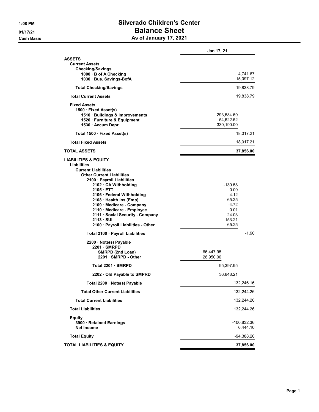# 1:08 PM Silverado Children's Center 01/17/21 Balance Sheet Cash Basis **As of January 17, 2021**

|                                                                                                                                                                                                                                                                                                                                                                                                        | Jan 17, 21                                                                            |
|--------------------------------------------------------------------------------------------------------------------------------------------------------------------------------------------------------------------------------------------------------------------------------------------------------------------------------------------------------------------------------------------------------|---------------------------------------------------------------------------------------|
| <b>ASSETS</b><br><b>Current Assets</b><br><b>Checking/Savings</b><br>1000 · B of A Checking<br>1030 · Bus. Savings-BofA                                                                                                                                                                                                                                                                                | 4,741.67<br>15,097.12                                                                 |
| <b>Total Checking/Savings</b>                                                                                                                                                                                                                                                                                                                                                                          | 19,838.79                                                                             |
| <b>Total Current Assets</b>                                                                                                                                                                                                                                                                                                                                                                            | 19,838.79                                                                             |
| <b>Fixed Assets</b><br>1500 · Fixed Asset(s)<br>1510 · Buildings & Improvements<br>1520 · Furniture & Equipment<br>1530 · Accum Depr                                                                                                                                                                                                                                                                   | 293,584.69<br>54,622.52<br>$-330, 190.00$                                             |
| Total 1500 · Fixed Asset(s)                                                                                                                                                                                                                                                                                                                                                                            | 18,017.21                                                                             |
| <b>Total Fixed Assets</b>                                                                                                                                                                                                                                                                                                                                                                              | 18,017.21                                                                             |
| <b>TOTAL ASSETS</b>                                                                                                                                                                                                                                                                                                                                                                                    | 37,856.00                                                                             |
| <b>LIABILITIES &amp; EQUITY</b><br><b>Liabilities</b><br><b>Current Liabilities</b><br><b>Other Current Liabilities</b><br>2100 · Payroll Liabilities<br>2102 · CA Withholding<br>2105 ETT<br>2106 · Federal Withholding<br>2108 · Health Ins (Emp)<br>2109 · Medicare - Company<br>2110 · Medicare - Employee<br>2111 · Social Security - Company<br>2113 · SUI<br>2100 · Payroll Liabilities - Other | -130.58<br>0.09<br>4.12<br>65.25<br>$-4.72$<br>0.01<br>$-24.03$<br>153.21<br>$-65.25$ |
| Total 2100 · Payroll Liabilities                                                                                                                                                                                                                                                                                                                                                                       | $-1.90$                                                                               |
| 2200 · Note(s) Payable<br>2201 SMRPD<br>SMRPD (2nd Loan)<br>2201 · SMRPD - Other                                                                                                                                                                                                                                                                                                                       | 66,447.95<br>28,950.00                                                                |
| Total 2201 · SMRPD                                                                                                                                                                                                                                                                                                                                                                                     | 95,397.95                                                                             |
| 2202 Old Payable to SMPRD                                                                                                                                                                                                                                                                                                                                                                              | 36,848.21                                                                             |
| Total 2200 · Note(s) Payable                                                                                                                                                                                                                                                                                                                                                                           | 132,246.16                                                                            |
| <b>Total Other Current Liabilities</b>                                                                                                                                                                                                                                                                                                                                                                 | 132,244.26                                                                            |
| <b>Total Current Liabilities</b>                                                                                                                                                                                                                                                                                                                                                                       | 132,244.26                                                                            |
| <b>Total Liabilities</b>                                                                                                                                                                                                                                                                                                                                                                               | 132,244.26                                                                            |
| <b>Equity</b><br>3900 · Retained Earnings<br><b>Net Income</b>                                                                                                                                                                                                                                                                                                                                         | -100,832.36<br>6,444.10                                                               |
| <b>Total Equity</b>                                                                                                                                                                                                                                                                                                                                                                                    | $-94,388.26$                                                                          |
| <b>TOTAL LIABILITIES &amp; EQUITY</b>                                                                                                                                                                                                                                                                                                                                                                  | 37,856.00                                                                             |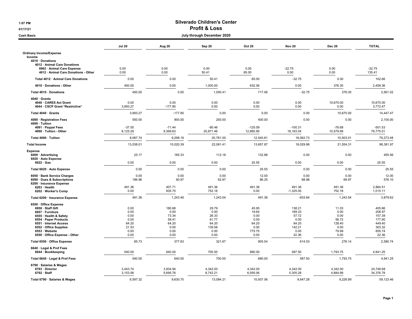## 1:07 PM Silverado Children's Center 01/17/21 **Profit & Loss**

| July through December 2020<br><b>Cash Basis</b>                    |                      |                      |                       |                        |                        |                       |                        |
|--------------------------------------------------------------------|----------------------|----------------------|-----------------------|------------------------|------------------------|-----------------------|------------------------|
|                                                                    | <b>Jul 20</b>        | Aug 20               | Sep 20                | <b>Oct 20</b>          | <b>Nov 20</b>          | <b>Dec 20</b>         | <b>TOTAL</b>           |
| <b>Ordinary Income/Expense</b><br>Income                           |                      |                      |                       |                        |                        |                       |                        |
| 4010 · Donations                                                   |                      |                      |                       |                        |                        |                       |                        |
| 4012 · Animal Care Donations                                       |                      |                      |                       |                        |                        |                       |                        |
| 6962 · Animal Care Expense<br>4012 · Animal Care Donations - Other | 0.00<br>0.00         | 0.00<br>0.00         | 0.00<br>50.41         | 0.00<br>85.00          | $-32.75$<br>0.00       | 0.00<br>0.00          | $-32.75$<br>135.41     |
| Total 4012 · Animal Care Donations                                 | 0.00                 | 0.00                 | 50.41                 | 85.00                  | $-32.75$               | 0.00                  | 102.66                 |
| 4010 · Donations - Other                                           | 450.00               | 0.00                 | 1,000.00              | 632.06                 | 0.00                   | 376.30                | 2,458.36               |
| Total 4010 · Donations                                             | 450.00               | 0.00                 | 1,050.41              | 717.06                 | $-32.75$               | 376.30                | 2,561.02               |
| 4040 · Grants                                                      |                      |                      |                       |                        |                        |                       |                        |
| 4046 · CARES Act Grant                                             | 0.00                 | 0.00                 | 0.00                  | 0.00                   | 0.00                   | 10,675.00             | 10,675.00              |
| 4044 · CSCP Grant *Restrictive*                                    | 3,950.27             | $-177.80$            | 0.00                  | 0.00                   | 0.00                   | 0.00                  | 3,772.47               |
| Total 4040 · Grants                                                | 3,950.27             | $-177.80$            | 0.00                  | 0.00                   | 0.00                   | 10,675.00             | 14,447.47              |
| 4080 · Registration Fees<br>4090 · Tuition                         | 550.00               | 900.00               | 250.00                | 400.00                 | 0.00                   | 0.00                  | 2,100.00               |
| 4091 · Paypal Fees<br>4090 · Tuition - Other                       | $-37.55$<br>8,125.29 | $-71.44$<br>9,369.63 | $-90.46$<br>20,871.46 | $-125.09$<br>12,665.90 | $-100.31$<br>18,163.04 | $-76.68$<br>10,579.69 | $-501.53$<br>79,775.01 |
| Total 4090 · Tuition                                               | 8,087.74             | 9,298.19             | 20,781.00             | 12,540.81              | 18,062.73              | 10,503.01             | 79,273.48              |
| <b>Total Income</b>                                                | 13,038.01            | 10,020.39            | 22,081.41             | 13,657.87              | 18,029.98              | 21,554.31             | 98,381.97              |
| Expense                                                            |                      |                      |                       |                        |                        |                       |                        |
| 6000 · Advertising                                                 | 25.17                | 185.33               | 112.18                | 132.88                 | 0.00                   | 0.00                  | 455.56                 |
| 6020 · Auto Expense<br>$6022 \cdot Gas$                            | 0.00                 | 0.00                 | 0.00                  | 25.55                  | 0.00                   | 0.00                  | 25.55                  |
| Total 6020 · Auto Expense                                          | 0.00                 | 0.00                 | 0.00                  | 25.55                  | 0.00                   | 0.00                  | 25.55                  |
| 6050 · Bank Service Charges                                        | 0.00                 | 0.00                 | 0.00                  | 12.00                  | 0.00                   | 0.00                  | 12.00                  |
| 6090 · Dues & Subscriptions                                        | 196.96               | 90.97                | 62.97                 | 86.25                  | 68.98                  | 69.97                 | 576.10                 |
| 6200 · Insurance Expense<br>$6203 \cdot$ Health                    | 491.36               | 407.71               | 491.36                | 491.36                 | 491.36                 | 491.36                | 2,864.51               |
| 6202 · Worker's Comp                                               | 0.00                 | 835.75               | 752.18                | 0.00                   | $-1,325.00$            | 752.18                | 1,015.11               |
| Total 6200 · Insurance Expense                                     | 491.36               | 1,243.46             | 1,243.54              | 491.36                 | $-833.64$              | 1,243.54              | 3,879.62               |
| 6550 · Office Expense                                              |                      |                      |                       |                        |                        |                       |                        |
| 6958 · Staff Gift                                                  | 0.00                 | 180.68               | 29.79                 | 45.95                  | 138.21                 | 11.03                 | 405.66                 |
| 6957 · Furniture                                                   | 0.00                 | 0.00                 | 0.00                  | 19.64                  | 189.33                 | 0.00                  | 208.97                 |
| 6555 · Health & Safety                                             | 0.00                 | 73.34                | 26.33                 | 0.00                   | 57.72                  | 0.00                  | 157.39                 |
| 6554 · Paper Products                                              | 0.00                 | 59.41                | 61.77                 | 0.00                   | 0.00                   | 56.72                 | 177.90                 |
| 6551 · Internet Access<br>6552 · Office Supplies                   | 64.20<br>21.53       | 64.20<br>0.00        | 64.20<br>139.58       | 64.20<br>0.00          | 64.20<br>142.21        | 128.40<br>0.00        | 449.40<br>303.32       |
| 6553 · Website                                                     | 0.00                 | 0.00                 | 0.00                  | 775.75                 | 0.00                   | 79.99                 | 855.74                 |
| 6550 · Office Expense - Other                                      | 0.00                 | 0.00                 | 0.00                  | 0.00                   | 22.36                  | 0.00                  | 22.36                  |
| Total 6550 · Office Expense                                        | 85.73                | 377.63               | 321.67                | 905.54                 | 614.03                 | 276.14                | 2,580.74               |
| 6640 · Legal & Prof Fees                                           |                      |                      |                       |                        |                        |                       |                        |
| 6644 · Bookkeeping                                                 | 540.00               | 640.00               | 700.00                | 680.00                 | 587.50                 | 1,793.75              | 4,941.25               |
| Total 6640 · Legal & Prof Fees                                     | 540.00               | 640.00               | 700.00                | 680.00                 | 587.50                 | 1,793.75              | 4,941.25               |
| 6790 · Salaries & Wages                                            |                      |                      |                       |                        |                        |                       |                        |
| 6793 · Director                                                    | 3,443.74             | 3,934.94             | 4,342.00              | 4,342.00               | 4,342.00               | 4,342.00              | 24,746.68              |
| $6792 \cdot$ Staff                                                 | 3,153.58             | 5,695.76             | 8,742.21              | 6,595.06               | 5,305.28               | 4,884.89              | 34,376.78              |
| Total 6790 · Salaries & Wages                                      | 6,597.32             | 9.630.70             | 13,084.21             | 10.937.06              | 9,647.28               | 9,226.89              | 59,123.46              |